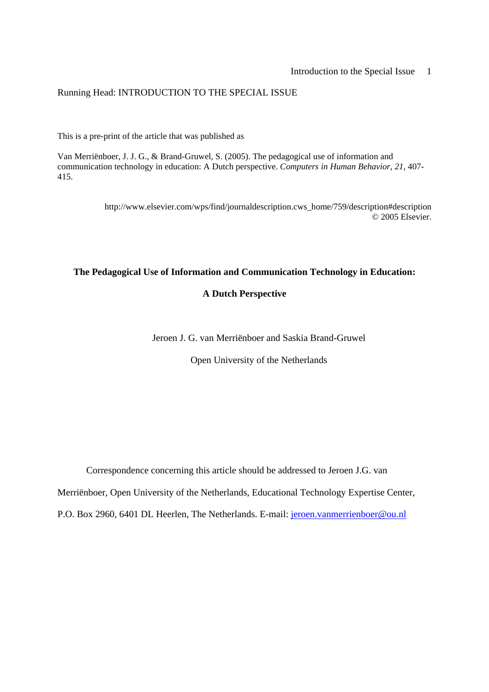## Running Head: INTRODUCTION TO THE SPECIAL ISSUE

This is a pre-print of the article that was published as

Van Merriënboer, J. J. G., & Brand-Gruwel, S. (2005). The pedagogical use of information and communication technology in education: A Dutch perspective. *Computers in Human Behavior*, *21*, 407- 415.

> http://www.elsevier.com/wps/find/journaldescription.cws\_home/759/description#description © 2005 Elsevier.

### **The Pedagogical Use of Information and Communication Technology in Education:**

# **A Dutch Perspective**

Jeroen J. G. van Merriënboer and Saskia Brand-Gruwel

Open University of the Netherlands

Correspondence concerning this article should be addressed to Jeroen J.G. van

Merriënboer, Open University of the Netherlands, Educational Technology Expertise Center,

P.O. Box 2960, 6401 DL Heerlen, The Netherlands. E-mail: jeroen.vanmerrienboer@ou.nl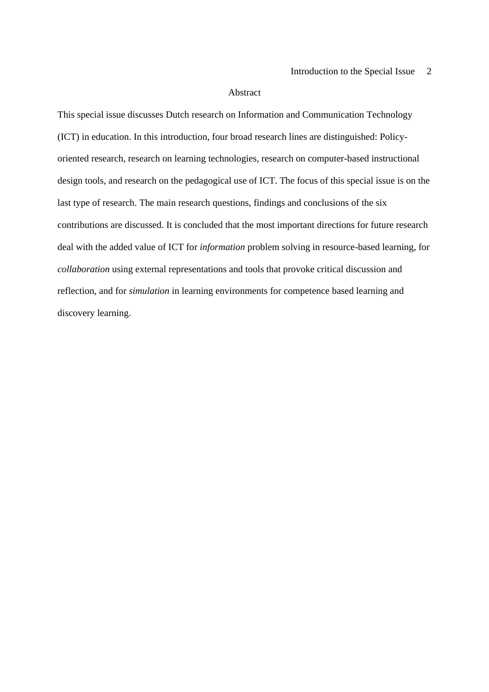#### Abstract

This special issue discusses Dutch research on Information and Communication Technology (ICT) in education. In this introduction, four broad research lines are distinguished: Policyoriented research, research on learning technologies, research on computer-based instructional design tools, and research on the pedagogical use of ICT. The focus of this special issue is on the last type of research. The main research questions, findings and conclusions of the six contributions are discussed. It is concluded that the most important directions for future research deal with the added value of ICT for *information* problem solving in resource-based learning, for *collaboration* using external representations and tools that provoke critical discussion and reflection, and for *simulation* in learning environments for competence based learning and discovery learning.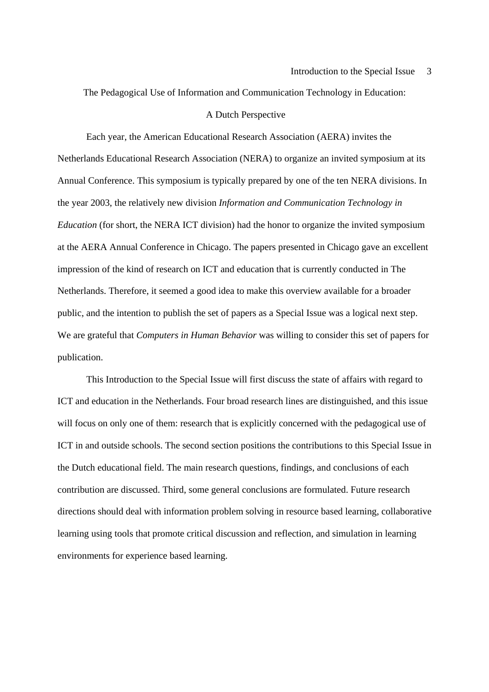The Pedagogical Use of Information and Communication Technology in Education:

## A Dutch Perspective

Each year, the American Educational Research Association (AERA) invites the Netherlands Educational Research Association (NERA) to organize an invited symposium at its Annual Conference. This symposium is typically prepared by one of the ten NERA divisions. In the year 2003, the relatively new division *Information and Communication Technology in Education* (for short, the NERA ICT division) had the honor to organize the invited symposium at the AERA Annual Conference in Chicago. The papers presented in Chicago gave an excellent impression of the kind of research on ICT and education that is currently conducted in The Netherlands. Therefore, it seemed a good idea to make this overview available for a broader public, and the intention to publish the set of papers as a Special Issue was a logical next step. We are grateful that *Computers in Human Behavior* was willing to consider this set of papers for publication.

This Introduction to the Special Issue will first discuss the state of affairs with regard to ICT and education in the Netherlands. Four broad research lines are distinguished, and this issue will focus on only one of them: research that is explicitly concerned with the pedagogical use of ICT in and outside schools. The second section positions the contributions to this Special Issue in the Dutch educational field. The main research questions, findings, and conclusions of each contribution are discussed. Third, some general conclusions are formulated. Future research directions should deal with information problem solving in resource based learning, collaborative learning using tools that promote critical discussion and reflection, and simulation in learning environments for experience based learning.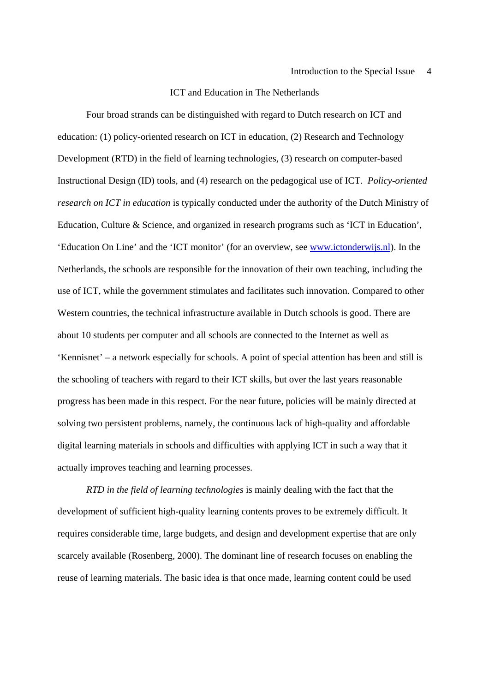## ICT and Education in The Netherlands

Four broad strands can be distinguished with regard to Dutch research on ICT and education: (1) policy-oriented research on ICT in education, (2) Research and Technology Development (RTD) in the field of learning technologies, (3) research on computer-based Instructional Design (ID) tools, and (4) research on the pedagogical use of ICT. *Policy-oriented research on ICT in education* is typically conducted under the authority of the Dutch Ministry of Education, Culture & Science, and organized in research programs such as 'ICT in Education', 'Education On Line' and the 'ICT monitor' (for an overview, see www.ictonderwijs.nl). In the Netherlands, the schools are responsible for the innovation of their own teaching, including the use of ICT, while the government stimulates and facilitates such innovation. Compared to other Western countries, the technical infrastructure available in Dutch schools is good. There are about 10 students per computer and all schools are connected to the Internet as well as 'Kennisnet' – a network especially for schools. A point of special attention has been and still is the schooling of teachers with regard to their ICT skills, but over the last years reasonable progress has been made in this respect. For the near future, policies will be mainly directed at solving two persistent problems, namely, the continuous lack of high-quality and affordable digital learning materials in schools and difficulties with applying ICT in such a way that it actually improves teaching and learning processes.

*RTD in the field of learning technologies* is mainly dealing with the fact that the development of sufficient high-quality learning contents proves to be extremely difficult. It requires considerable time, large budgets, and design and development expertise that are only scarcely available (Rosenberg, 2000). The dominant line of research focuses on enabling the reuse of learning materials. The basic idea is that once made, learning content could be used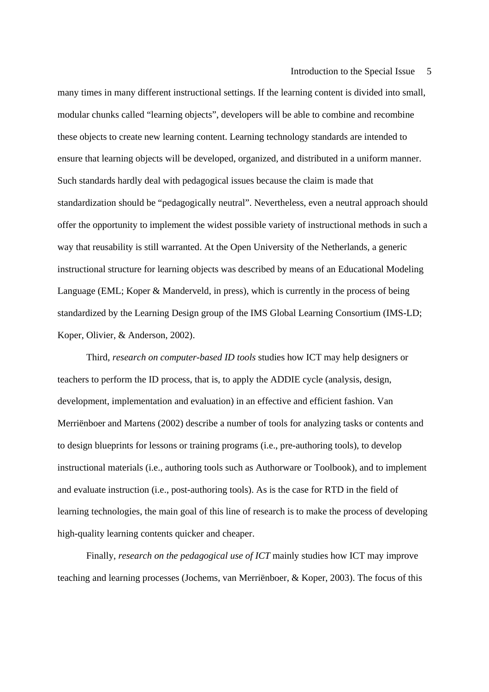many times in many different instructional settings. If the learning content is divided into small, modular chunks called "learning objects", developers will be able to combine and recombine these objects to create new learning content. Learning technology standards are intended to ensure that learning objects will be developed, organized, and distributed in a uniform manner. Such standards hardly deal with pedagogical issues because the claim is made that standardization should be "pedagogically neutral". Nevertheless, even a neutral approach should offer the opportunity to implement the widest possible variety of instructional methods in such a way that reusability is still warranted. At the Open University of the Netherlands, a generic instructional structure for learning objects was described by means of an Educational Modeling Language (EML; Koper & Manderveld, in press), which is currently in the process of being standardized by the Learning Design group of the IMS Global Learning Consortium (IMS-LD; Koper, Olivier, & Anderson, 2002).

Third, *research on computer-based ID tools* studies how ICT may help designers or teachers to perform the ID process, that is, to apply the ADDIE cycle (analysis, design, development, implementation and evaluation) in an effective and efficient fashion. Van Merriënboer and Martens (2002) describe a number of tools for analyzing tasks or contents and to design blueprints for lessons or training programs (i.e., pre-authoring tools), to develop instructional materials (i.e., authoring tools such as Authorware or Toolbook), and to implement and evaluate instruction (i.e., post-authoring tools). As is the case for RTD in the field of learning technologies, the main goal of this line of research is to make the process of developing high-quality learning contents quicker and cheaper.

Finally, *research on the pedagogical use of ICT* mainly studies how ICT may improve teaching and learning processes (Jochems, van Merriënboer, & Koper, 2003). The focus of this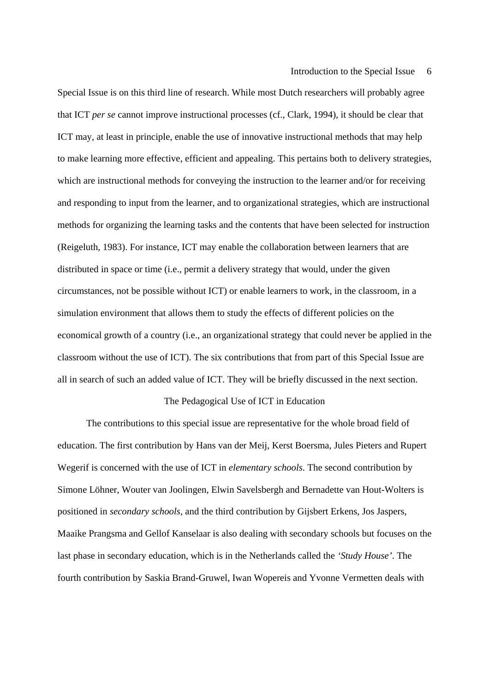Special Issue is on this third line of research. While most Dutch researchers will probably agree that ICT *per se* cannot improve instructional processes (cf., Clark, 1994), it should be clear that ICT may, at least in principle, enable the use of innovative instructional methods that may help to make learning more effective, efficient and appealing. This pertains both to delivery strategies, which are instructional methods for conveying the instruction to the learner and/or for receiving and responding to input from the learner, and to organizational strategies, which are instructional methods for organizing the learning tasks and the contents that have been selected for instruction (Reigeluth, 1983). For instance, ICT may enable the collaboration between learners that are distributed in space or time (i.e., permit a delivery strategy that would, under the given circumstances, not be possible without ICT) or enable learners to work, in the classroom, in a simulation environment that allows them to study the effects of different policies on the economical growth of a country (i.e., an organizational strategy that could never be applied in the classroom without the use of ICT). The six contributions that from part of this Special Issue are all in search of such an added value of ICT. They will be briefly discussed in the next section.

### The Pedagogical Use of ICT in Education

The contributions to this special issue are representative for the whole broad field of education. The first contribution by Hans van der Meij, Kerst Boersma, Jules Pieters and Rupert Wegerif is concerned with the use of ICT in *elementary schools*. The second contribution by Simone Löhner, Wouter van Joolingen, Elwin Savelsbergh and Bernadette van Hout-Wolters is positioned in *secondary schools*, and the third contribution by Gijsbert Erkens, Jos Jaspers, Maaike Prangsma and Gellof Kanselaar is also dealing with secondary schools but focuses on the last phase in secondary education, which is in the Netherlands called the *'Study House'*. The fourth contribution by Saskia Brand-Gruwel, Iwan Wopereis and Yvonne Vermetten deals with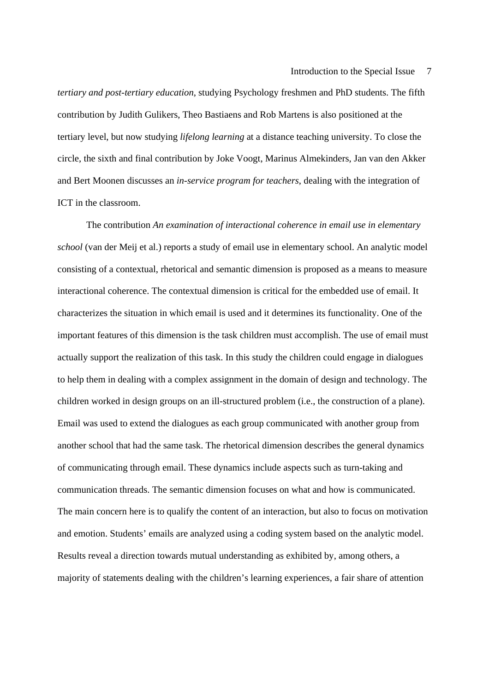*tertiary and post-tertiary education*, studying Psychology freshmen and PhD students. The fifth contribution by Judith Gulikers, Theo Bastiaens and Rob Martens is also positioned at the tertiary level, but now studying *lifelong learning* at a distance teaching university. To close the circle, the sixth and final contribution by Joke Voogt, Marinus Almekinders, Jan van den Akker and Bert Moonen discusses an *in-service program for teachers*, dealing with the integration of ICT in the classroom.

The contribution *An examination of interactional coherence in email use in elementary school* (van der Meij et al.) reports a study of email use in elementary school. An analytic model consisting of a contextual, rhetorical and semantic dimension is proposed as a means to measure interactional coherence. The contextual dimension is critical for the embedded use of email. It characterizes the situation in which email is used and it determines its functionality. One of the important features of this dimension is the task children must accomplish. The use of email must actually support the realization of this task. In this study the children could engage in dialogues to help them in dealing with a complex assignment in the domain of design and technology. The children worked in design groups on an ill-structured problem (i.e., the construction of a plane). Email was used to extend the dialogues as each group communicated with another group from another school that had the same task. The rhetorical dimension describes the general dynamics of communicating through email. These dynamics include aspects such as turn-taking and communication threads. The semantic dimension focuses on what and how is communicated. The main concern here is to qualify the content of an interaction, but also to focus on motivation and emotion. Students' emails are analyzed using a coding system based on the analytic model. Results reveal a direction towards mutual understanding as exhibited by, among others, a majority of statements dealing with the children's learning experiences, a fair share of attention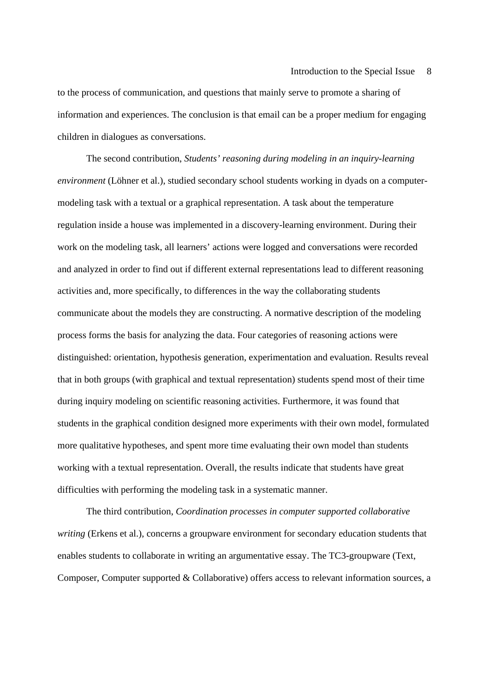to the process of communication, and questions that mainly serve to promote a sharing of information and experiences. The conclusion is that email can be a proper medium for engaging children in dialogues as conversations.

The second contribution, *Students' reasoning during modeling in an inquiry-learning environment* (Löhner et al.), studied secondary school students working in dyads on a computermodeling task with a textual or a graphical representation. A task about the temperature regulation inside a house was implemented in a discovery-learning environment. During their work on the modeling task, all learners' actions were logged and conversations were recorded and analyzed in order to find out if different external representations lead to different reasoning activities and, more specifically, to differences in the way the collaborating students communicate about the models they are constructing. A normative description of the modeling process forms the basis for analyzing the data. Four categories of reasoning actions were distinguished: orientation, hypothesis generation, experimentation and evaluation. Results reveal that in both groups (with graphical and textual representation) students spend most of their time during inquiry modeling on scientific reasoning activities. Furthermore, it was found that students in the graphical condition designed more experiments with their own model, formulated more qualitative hypotheses, and spent more time evaluating their own model than students working with a textual representation. Overall, the results indicate that students have great difficulties with performing the modeling task in a systematic manner.

The third contribution, *Coordination processes in computer supported collaborative writing* (Erkens et al.), concerns a groupware environment for secondary education students that enables students to collaborate in writing an argumentative essay. The TC3-groupware (Text, Composer, Computer supported & Collaborative) offers access to relevant information sources, a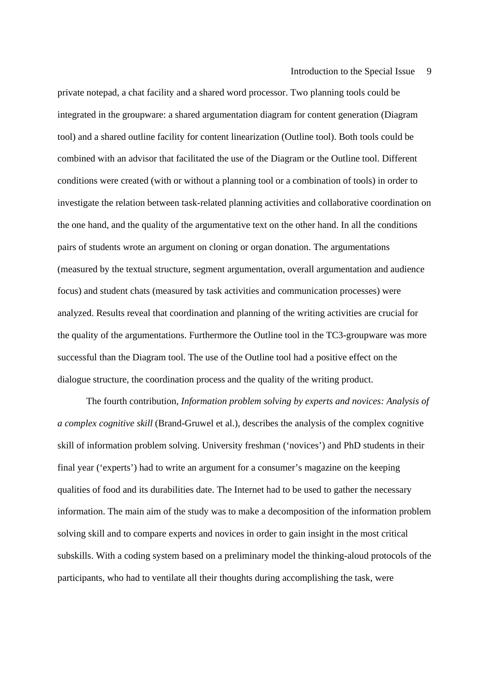private notepad, a chat facility and a shared word processor. Two planning tools could be integrated in the groupware: a shared argumentation diagram for content generation (Diagram tool) and a shared outline facility for content linearization (Outline tool). Both tools could be combined with an advisor that facilitated the use of the Diagram or the Outline tool. Different conditions were created (with or without a planning tool or a combination of tools) in order to investigate the relation between task-related planning activities and collaborative coordination on the one hand, and the quality of the argumentative text on the other hand. In all the conditions pairs of students wrote an argument on cloning or organ donation. The argumentations (measured by the textual structure, segment argumentation, overall argumentation and audience focus) and student chats (measured by task activities and communication processes) were analyzed. Results reveal that coordination and planning of the writing activities are crucial for the quality of the argumentations. Furthermore the Outline tool in the TC3-groupware was more successful than the Diagram tool. The use of the Outline tool had a positive effect on the dialogue structure, the coordination process and the quality of the writing product.

The fourth contribution, *Information problem solving by experts and novices: Analysis of a complex cognitive skill* (Brand-Gruwel et al.), describes the analysis of the complex cognitive skill of information problem solving. University freshman ('novices') and PhD students in their final year ('experts') had to write an argument for a consumer's magazine on the keeping qualities of food and its durabilities date. The Internet had to be used to gather the necessary information. The main aim of the study was to make a decomposition of the information problem solving skill and to compare experts and novices in order to gain insight in the most critical subskills. With a coding system based on a preliminary model the thinking-aloud protocols of the participants, who had to ventilate all their thoughts during accomplishing the task, were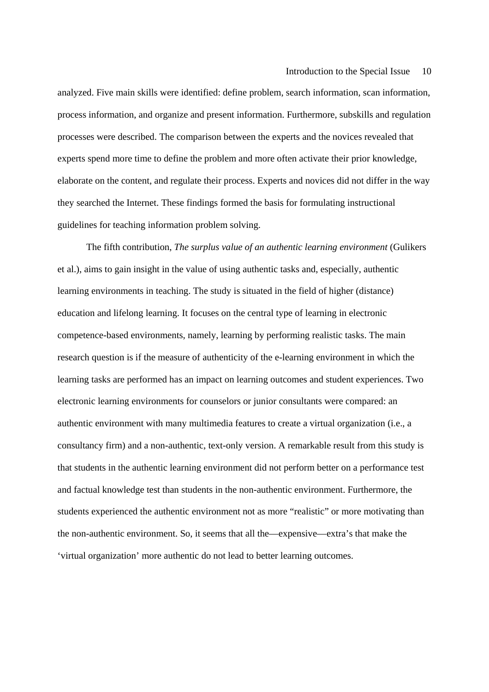analyzed. Five main skills were identified: define problem, search information, scan information, process information, and organize and present information. Furthermore, subskills and regulation processes were described. The comparison between the experts and the novices revealed that experts spend more time to define the problem and more often activate their prior knowledge, elaborate on the content, and regulate their process. Experts and novices did not differ in the way they searched the Internet. These findings formed the basis for formulating instructional guidelines for teaching information problem solving.

The fifth contribution, *The surplus value of an authentic learning environment* (Gulikers et al.), aims to gain insight in the value of using authentic tasks and, especially, authentic learning environments in teaching. The study is situated in the field of higher (distance) education and lifelong learning. It focuses on the central type of learning in electronic competence-based environments, namely, learning by performing realistic tasks. The main research question is if the measure of authenticity of the e-learning environment in which the learning tasks are performed has an impact on learning outcomes and student experiences. Two electronic learning environments for counselors or junior consultants were compared: an authentic environment with many multimedia features to create a virtual organization (i.e., a consultancy firm) and a non-authentic, text-only version. A remarkable result from this study is that students in the authentic learning environment did not perform better on a performance test and factual knowledge test than students in the non-authentic environment. Furthermore, the students experienced the authentic environment not as more "realistic" or more motivating than the non-authentic environment. So, it seems that all the—expensive—extra's that make the 'virtual organization' more authentic do not lead to better learning outcomes.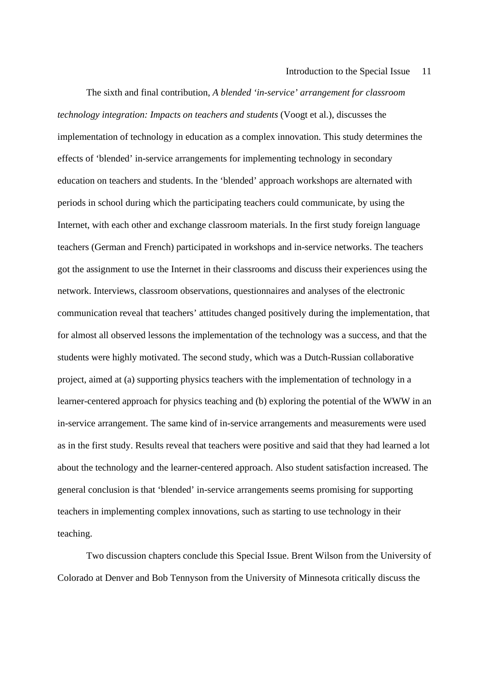The sixth and final contribution, *A blended 'in-service' arrangement for classroom technology integration: Impacts on teachers and students* (Voogt et al.), discusses the implementation of technology in education as a complex innovation. This study determines the effects of 'blended' in-service arrangements for implementing technology in secondary education on teachers and students. In the 'blended' approach workshops are alternated with periods in school during which the participating teachers could communicate, by using the Internet, with each other and exchange classroom materials. In the first study foreign language teachers (German and French) participated in workshops and in-service networks. The teachers got the assignment to use the Internet in their classrooms and discuss their experiences using the network. Interviews, classroom observations, questionnaires and analyses of the electronic communication reveal that teachers' attitudes changed positively during the implementation, that for almost all observed lessons the implementation of the technology was a success, and that the students were highly motivated. The second study, which was a Dutch-Russian collaborative project, aimed at (a) supporting physics teachers with the implementation of technology in a learner-centered approach for physics teaching and (b) exploring the potential of the WWW in an in-service arrangement. The same kind of in-service arrangements and measurements were used as in the first study. Results reveal that teachers were positive and said that they had learned a lot about the technology and the learner-centered approach. Also student satisfaction increased. The general conclusion is that 'blended' in-service arrangements seems promising for supporting teachers in implementing complex innovations, such as starting to use technology in their teaching.

Two discussion chapters conclude this Special Issue. Brent Wilson from the University of Colorado at Denver and Bob Tennyson from the University of Minnesota critically discuss the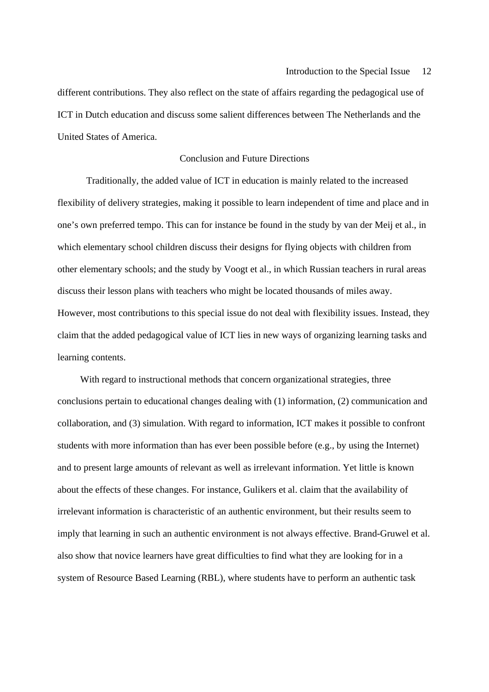different contributions. They also reflect on the state of affairs regarding the pedagogical use of ICT in Dutch education and discuss some salient differences between The Netherlands and the United States of America.

# Conclusion and Future Directions

Traditionally, the added value of ICT in education is mainly related to the increased flexibility of delivery strategies, making it possible to learn independent of time and place and in one's own preferred tempo. This can for instance be found in the study by van der Meij et al., in which elementary school children discuss their designs for flying objects with children from other elementary schools; and the study by Voogt et al., in which Russian teachers in rural areas discuss their lesson plans with teachers who might be located thousands of miles away. However, most contributions to this special issue do not deal with flexibility issues. Instead, they claim that the added pedagogical value of ICT lies in new ways of organizing learning tasks and learning contents.

With regard to instructional methods that concern organizational strategies, three conclusions pertain to educational changes dealing with (1) information, (2) communication and collaboration, and (3) simulation. With regard to information, ICT makes it possible to confront students with more information than has ever been possible before (e.g., by using the Internet) and to present large amounts of relevant as well as irrelevant information. Yet little is known about the effects of these changes. For instance, Gulikers et al. claim that the availability of irrelevant information is characteristic of an authentic environment, but their results seem to imply that learning in such an authentic environment is not always effective. Brand-Gruwel et al. also show that novice learners have great difficulties to find what they are looking for in a system of Resource Based Learning (RBL), where students have to perform an authentic task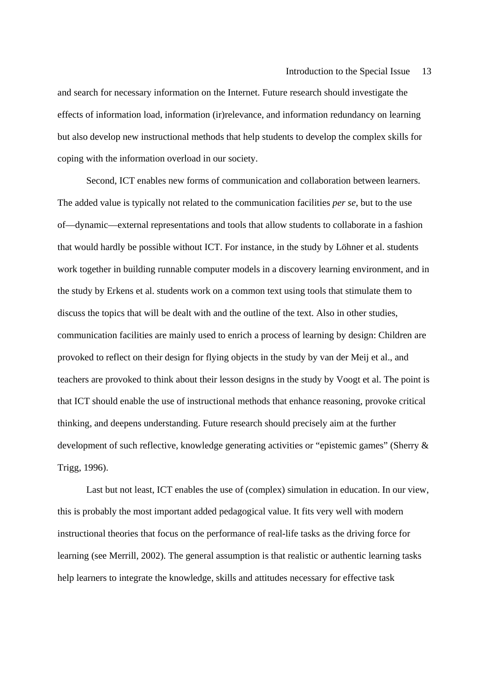and search for necessary information on the Internet. Future research should investigate the effects of information load, information (ir)relevance, and information redundancy on learning but also develop new instructional methods that help students to develop the complex skills for coping with the information overload in our society.

Second, ICT enables new forms of communication and collaboration between learners. The added value is typically not related to the communication facilities *per se*, but to the use of—dynamic—external representations and tools that allow students to collaborate in a fashion that would hardly be possible without ICT. For instance, in the study by Löhner et al. students work together in building runnable computer models in a discovery learning environment, and in the study by Erkens et al. students work on a common text using tools that stimulate them to discuss the topics that will be dealt with and the outline of the text. Also in other studies, communication facilities are mainly used to enrich a process of learning by design: Children are provoked to reflect on their design for flying objects in the study by van der Meij et al., and teachers are provoked to think about their lesson designs in the study by Voogt et al. The point is that ICT should enable the use of instructional methods that enhance reasoning, provoke critical thinking, and deepens understanding. Future research should precisely aim at the further development of such reflective, knowledge generating activities or "epistemic games" (Sherry & Trigg, 1996).

Last but not least, ICT enables the use of (complex) simulation in education. In our view, this is probably the most important added pedagogical value. It fits very well with modern instructional theories that focus on the performance of real-life tasks as the driving force for learning (see Merrill, 2002). The general assumption is that realistic or authentic learning tasks help learners to integrate the knowledge, skills and attitudes necessary for effective task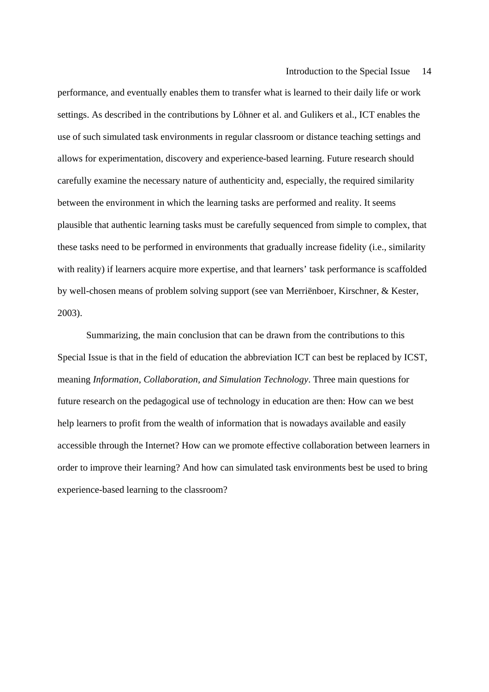performance, and eventually enables them to transfer what is learned to their daily life or work settings. As described in the contributions by Löhner et al. and Gulikers et al., ICT enables the use of such simulated task environments in regular classroom or distance teaching settings and allows for experimentation, discovery and experience-based learning. Future research should carefully examine the necessary nature of authenticity and, especially, the required similarity between the environment in which the learning tasks are performed and reality. It seems plausible that authentic learning tasks must be carefully sequenced from simple to complex, that these tasks need to be performed in environments that gradually increase fidelity (i.e., similarity with reality) if learners acquire more expertise, and that learners' task performance is scaffolded by well-chosen means of problem solving support (see van Merriënboer, Kirschner, & Kester, 2003).

Summarizing, the main conclusion that can be drawn from the contributions to this Special Issue is that in the field of education the abbreviation ICT can best be replaced by ICST, meaning *Information, Collaboration, and Simulation Technology*. Three main questions for future research on the pedagogical use of technology in education are then: How can we best help learners to profit from the wealth of information that is nowadays available and easily accessible through the Internet? How can we promote effective collaboration between learners in order to improve their learning? And how can simulated task environments best be used to bring experience-based learning to the classroom?